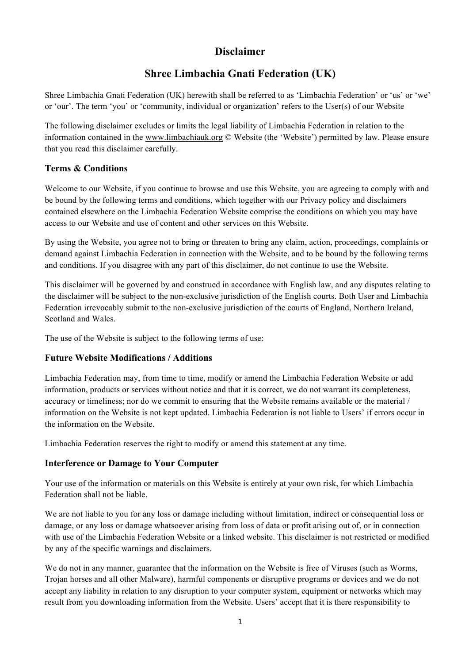# **Disclaimer**

# **Shree Limbachia Gnati Federation (UK)**

Shree Limbachia Gnati Federation (UK) herewith shall be referred to as 'Limbachia Federation' or 'us' or 'we' or 'our'. The term 'you' or 'community, individual or organization' refers to the User(s) of our Website

The following disclaimer excludes or limits the legal liability of Limbachia Federation in relation to the information contained in the www.limbachiauk.org © Website (the 'Website') permitted by law. Please ensure that you read this disclaimer carefully.

#### **Terms & Conditions**

Welcome to our Website, if you continue to browse and use this Website, you are agreeing to comply with and be bound by the following terms and conditions, which together with our Privacy policy and disclaimers contained elsewhere on the Limbachia Federation Website comprise the conditions on which you may have access to our Website and use of content and other services on this Website.

By using the Website, you agree not to bring or threaten to bring any claim, action, proceedings, complaints or demand against Limbachia Federation in connection with the Website, and to be bound by the following terms and conditions. If you disagree with any part of this disclaimer, do not continue to use the Website.

This disclaimer will be governed by and construed in accordance with English law, and any disputes relating to the disclaimer will be subject to the non-exclusive jurisdiction of the English courts. Both User and Limbachia Federation irrevocably submit to the non-exclusive jurisdiction of the courts of England, Northern Ireland, Scotland and Wales.

The use of the Website is subject to the following terms of use:

#### **Future Website Modifications / Additions**

Limbachia Federation may, from time to time, modify or amend the Limbachia Federation Website or add information, products or services without notice and that it is correct, we do not warrant its completeness, accuracy or timeliness; nor do we commit to ensuring that the Website remains available or the material / information on the Website is not kept updated. Limbachia Federation is not liable to Users' if errors occur in the information on the Website.

Limbachia Federation reserves the right to modify or amend this statement at any time.

#### **Interference or Damage to Your Computer**

Your use of the information or materials on this Website is entirely at your own risk, for which Limbachia Federation shall not be liable.

We are not liable to you for any loss or damage including without limitation, indirect or consequential loss or damage, or any loss or damage whatsoever arising from loss of data or profit arising out of, or in connection with use of the Limbachia Federation Website or a linked website. This disclaimer is not restricted or modified by any of the specific warnings and disclaimers.

We do not in any manner, guarantee that the information on the Website is free of Viruses (such as Worms, Trojan horses and all other Malware), harmful components or disruptive programs or devices and we do not accept any liability in relation to any disruption to your computer system, equipment or networks which may result from you downloading information from the Website. Users' accept that it is there responsibility to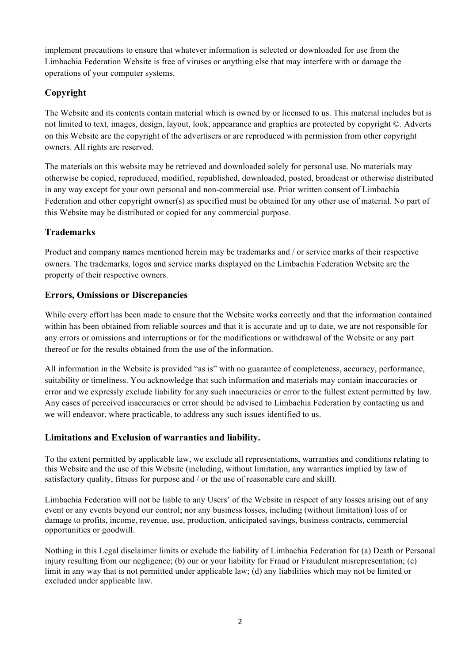implement precautions to ensure that whatever information is selected or downloaded for use from the Limbachia Federation Website is free of viruses or anything else that may interfere with or damage the operations of your computer systems.

### **Copyright**

The Website and its contents contain material which is owned by or licensed to us. This material includes but is not limited to text, images, design, layout, look, appearance and graphics are protected by copyright ©. Adverts on this Website are the copyright of the advertisers or are reproduced with permission from other copyright owners. All rights are reserved.

The materials on this website may be retrieved and downloaded solely for personal use. No materials may otherwise be copied, reproduced, modified, republished, downloaded, posted, broadcast or otherwise distributed in any way except for your own personal and non-commercial use. Prior written consent of Limbachia Federation and other copyright owner(s) as specified must be obtained for any other use of material. No part of this Website may be distributed or copied for any commercial purpose.

#### **Trademarks**

Product and company names mentioned herein may be trademarks and / or service marks of their respective owners. The trademarks, logos and service marks displayed on the Limbachia Federation Website are the property of their respective owners.

#### **Errors, Omissions or Discrepancies**

While every effort has been made to ensure that the Website works correctly and that the information contained within has been obtained from reliable sources and that it is accurate and up to date, we are not responsible for any errors or omissions and interruptions or for the modifications or withdrawal of the Website or any part thereof or for the results obtained from the use of the information.

All information in the Website is provided "as is" with no guarantee of completeness, accuracy, performance, suitability or timeliness. You acknowledge that such information and materials may contain inaccuracies or error and we expressly exclude liability for any such inaccuracies or error to the fullest extent permitted by law. Any cases of perceived inaccuracies or error should be advised to Limbachia Federation by contacting us and we will endeavor, where practicable, to address any such issues identified to us.

#### **Limitations and Exclusion of warranties and liability.**

To the extent permitted by applicable law, we exclude all representations, warranties and conditions relating to this Website and the use of this Website (including, without limitation, any warranties implied by law of satisfactory quality, fitness for purpose and / or the use of reasonable care and skill).

Limbachia Federation will not be liable to any Users' of the Website in respect of any losses arising out of any event or any events beyond our control; nor any business losses, including (without limitation) loss of or damage to profits, income, revenue, use, production, anticipated savings, business contracts, commercial opportunities or goodwill.

Nothing in this Legal disclaimer limits or exclude the liability of Limbachia Federation for (a) Death or Personal injury resulting from our negligence; (b) our or your liability for Fraud or Fraudulent misrepresentation; (c) limit in any way that is not permitted under applicable law; (d) any liabilities which may not be limited or excluded under applicable law.